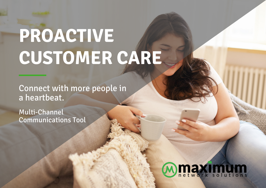# **PROACTIVE CUSTOMER CARE**

Connect with more people in a heartbeat.

Multi-Channel Communications Tool

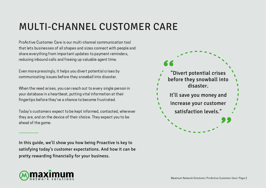#### MULTI-CHANNEL CUSTOMER CARE

ProActive Customer Care is our multi-channel communication tool that lets businesses of all shapes and sizes connect with people and share everything from important updates to payment reminders, reducing inbound calls and freeing up valuable agent time.

Even more pressingly, it helps you divert potential crises by communicating issues before they snowball into disaster.

When the need arises, you can reach out to every single person in your database in a heartbeat, putting vital information at their fingertips before they've a chance to become frustrated.

Today's customers expect to be kept informed, contacted, wherever they are, and on the device of their choice. They expect you to be ahead of the game.

In this guide, we'll show you how being Proactive is key to satisfying today's customer expectations. And how it can be pretty rewarding financially for your business.



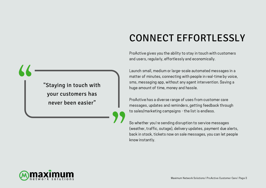## CONNECT EFFORTLESSLY

ProActive gives you the ability to stay in touch with customers and users, regularly, effortlessly and economically.

Launch small, medium or large-scale automated messages in a matter of minutes, connecting with people in real-time by voice, sms, messaging app, without any agent intervention. Saving a huge amount of time, money and hassle.

ProActive has a diverse range of uses from customer care messages, updates and reminders, getting feedback through to sales/marketing campaigns - the list is endless.

So whether you're sending disruption to service messages (weather, traffic, outage), delivery updates, payment due alerts, back in stock, tickets now on sale messages, you can let people know instantly.

"Staying in touch with your customers has never been easier"

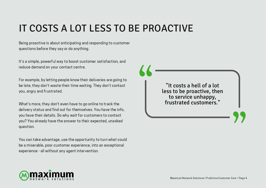#### IT COSTS A LOT LESS TO BE PROACTIVE

Being proactive is about anticipating and responding to customer questions before they say or do anything.

It's a simple, powerful way to boost customer satisfaction, and reduce demand on your contact centre.

For example, by letting people know their deliveries are going to be late, they don't waste their time waiting. They don't contact you, angry and frustrated.

What's more, they don't even have to go online to track the delivery status and find out for themselves. You have the info, you have their details. So why wait for customers to contact you? You already have the answer to their expected, unasked question.

You can take advantage, use the opportunity to turn what could be a miserable, poor customer experience, into an exceptional experience - all without any agent intervention.

"It costs a hell of a lot less to be proactive, then to service unhappy, frustrated customers."

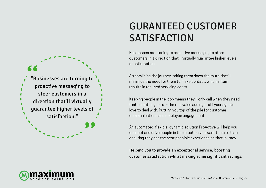### 'Businesses are turning to proactive messaging to steer customers in a direction that'll virtually guarantee higher levels of satisfaction."

### GURANTEED CUSTOMER **SATISFACTION**

Businesses are turning to proactive messaging to steer customers in a direction that'll virtually guarantee higher levels of satisfaction.

Streamlining the journey, taking them down the route that'll minimise the need for them to make contact, which in turn results in reduced servicing costs.

Keeping people in the loop means they'll only call when they need that something extra - the real value adding stuff your agents love to deal with. Putting you top of the pile for customer communications and employee engagement.

An automated, flexible, dynamic solution ProActive will help you connect and drive people in the direction you want them to take, ensuring they get the best possible experience on that journey.

Helping you to provide an exceptional service, boosting customer satisfaction whilst making some significant savings.

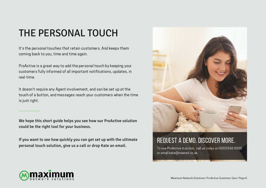#### THE PERSONAL TOUCH

It's the personal touches that retain customers. And keeps them coming back to you, time and time again.

ProActive is a great way to add the personal touch by keeping your customers fully informed of all important notifications, updates, in real-time.

It doesn't require any Agent involvement, and can be set up at the touch of a button, and messages reach your customers when the time is just right.

We hope this short guide helps you see how our ProActive solution could be the right tool for your business.

If you want to see how quickly you can get set up with the ultimate personal touch solution, give us a call or drop Kate an email.



#### REQUEST A DEMO. DISCOVER MORE.

To see ProActive in action, call us today on 0333 566 0000 or email kate@maxnet.co.uk.